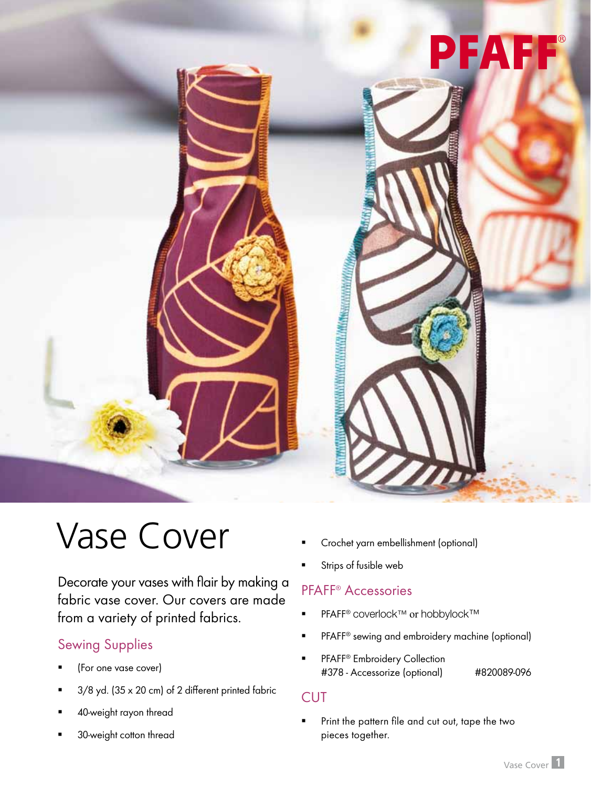

# Vase Cover

Decorate your vases with flair by making a fabric vase cover. Our covers are made from a variety of printed fabrics.

# Sewing Supplies

- (For one vase cover)
- 3/8 yd. (35 x 20 cm) of 2 different printed fabric
- 40-weight rayon thread
- 30-weight cotton thread
- Crochet yarn embellishment (optional)
- Strips of fusible web

## PFAFF® Accessories

- PFAFF<sup>®</sup> coverlock™ or hobbylock™
- PFAFF® sewing and embroidery machine (optional)
- **FRAFF<sup>®</sup> Embroidery Collection** #378 - Accessorize (optional) #820089-096

### **CUT**

**Print the pattern file and cut out, tape the two** pieces together.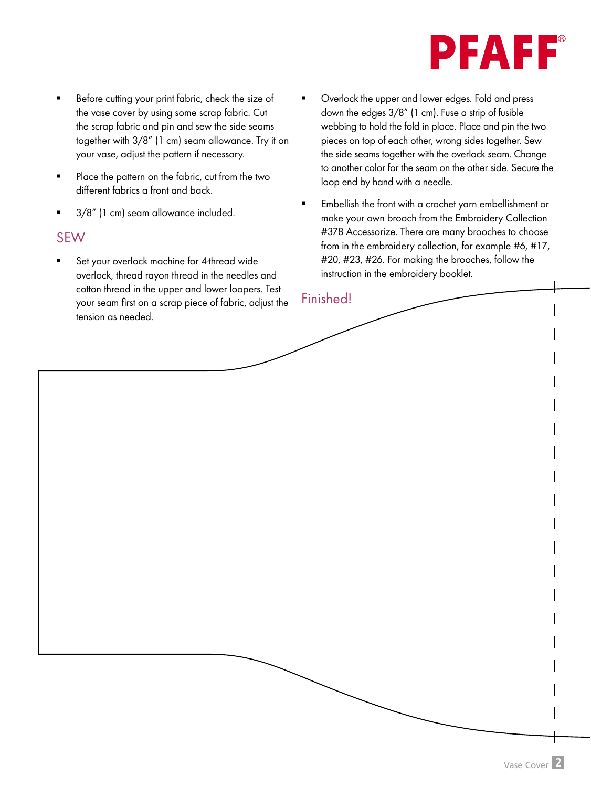

- Before cutting your print fabric, check the size of the vase cover by using some scrap fabric. Cut the scrap fabric and pin and sew the side seams together with 3/8" (1 cm) seam allowance. Try it on your vase, adjust the pattern if necessary.
- Place the pattern on the fabric, cut from the two different fabrics a front and back.
- 3/8" (1 cm) seam allowance included.

#### SEW

- Set your overlock machine for 4-thread wide overlock, thread rayon thread in the needles and cotton thread in the upper and lower loopers. Test your seam first on a scrap piece of fabric, adjust the tension as needed.
- Overlock the upper and lower edges. Fold and press down the edges 3/8" (1 cm). Fuse a strip of fusible webbing to hold the fold in place. Place and pin the two pieces on top of each other, wrong sides together. Sew the side seams together with the overlock seam. Change to another color for the seam on the other side. Secure the loop end by hand with a needle.
- Embellish the front with a crochet yarn embellishment or make your own brooch from the Embroidery Collection #378 Accessorize. There are many brooches to choose from in the embroidery collection, for example #6, #17, #20, #23, #26. For making the brooches, follow the instruction in the embroidery booklet.

### Finished!